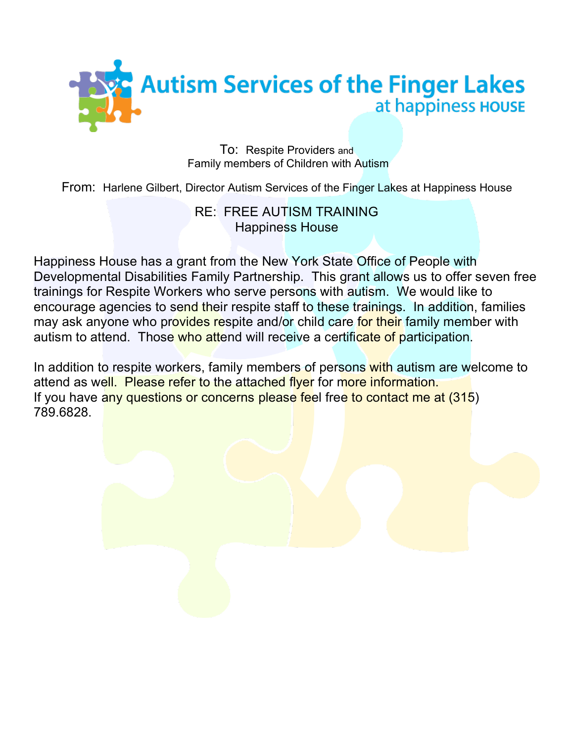

To: Respite Providers and Family members of Children with Autism

From: Harlene Gilbert, Director Autism Services of the Finger Lakes at Happiness House

## RE: FREE AUTISM TRAINING Happiness House

Happiness House has a grant from the New York State Office of People with Developmental Disabilities Family Partnership. This grant allows us to offer seven free trainings for Respite Workers who serve persons with autism. We would like to encourage agencies to send their respite staff to these trainings. In addition, families may ask anyone who provides respite and/or child care for their family member with autism to attend. Those who attend will receive a certificate of participation.

In addition to respite workers, family members of persons with autism are welcome to attend as well. Please refer to the attached flyer for more information. If you have any questions or concerns please feel free to contact me at (315) 789.6828.